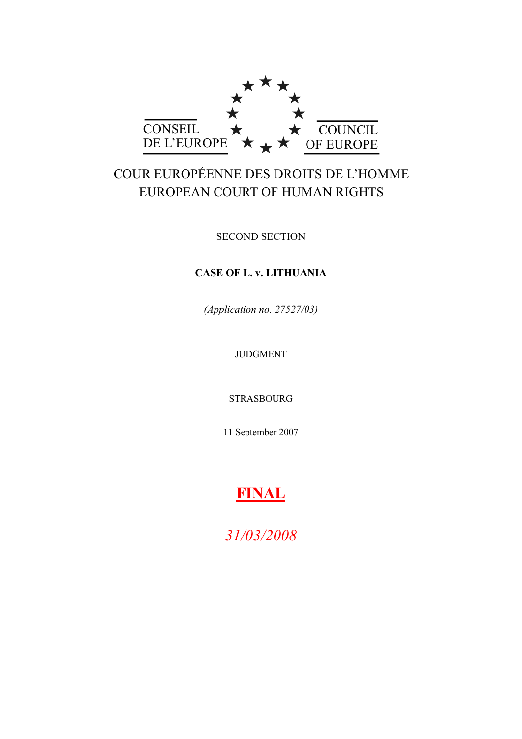

# COUR EUROPÉENNE DES DROITS DE L'HOMME EUROPEAN COURT OF HUMAN RIGHTS

SECOND SECTION

# **CASE OF L. v. LITHUANIA**

*(Application no. 27527/03)*

JUDGMENT

STRASBOURG

11 September 2007

# **FINAL**

*31/03/2008*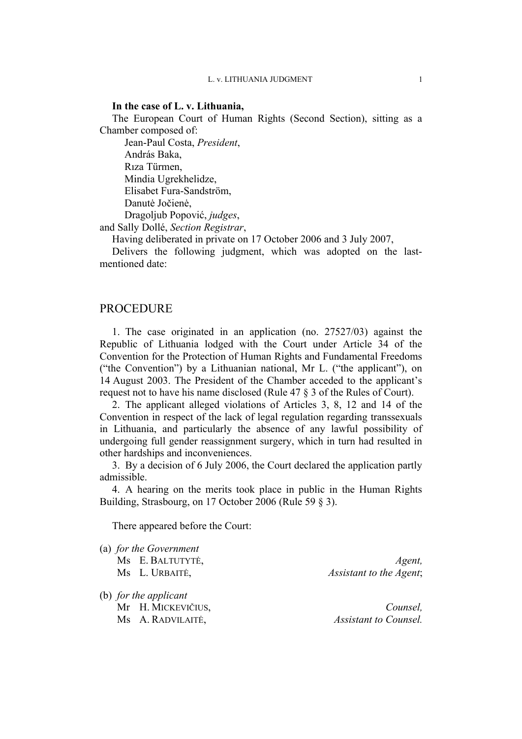#### **In the case of L. v. Lithuania,**

The European Court of Human Rights (Second Section), sitting as a Chamber composed of:

Jean-Paul Costa, *President*, András Baka, Rıza Türmen, Mindia Ugrekhelidze, Elisabet Fura-Sandström, Danutė Jočienė, Dragoljub Popović, *judges*,

and Sally Dollé, *Section Registrar*,

Having deliberated in private on 17 October 2006 and 3 July 2007,

Delivers the following judgment, which was adopted on the lastmentioned date:

# PROCEDURE

1. The case originated in an application (no. 27527/03) against the Republic of Lithuania lodged with the Court under Article 34 of the Convention for the Protection of Human Rights and Fundamental Freedoms ("the Convention") by a Lithuanian national, Mr L. ("the applicant"), on 14 August 2003. The President of the Chamber acceded to the applicant's request not to have his name disclosed (Rule 47 § 3 of the Rules of Court).

2. The applicant alleged violations of Articles 3, 8, 12 and 14 of the Convention in respect of the lack of legal regulation regarding transsexuals in Lithuania, and particularly the absence of any lawful possibility of undergoing full gender reassignment surgery, which in turn had resulted in other hardships and inconveniences.

3. By a decision of 6 July 2006, the Court declared the application partly admissible.

4. A hearing on the merits took place in public in the Human Rights Building, Strasbourg, on 17 October 2006 (Rule 59 § 3).

There appeared before the Court:

(a) *for the Government*

| Ms E. BALTUTYTĖ, | Agent,                  |
|------------------|-------------------------|
| Ms L. URBAITĖ,   | Assistant to the Agent; |

(b) *for the applicant* Mr H. MICKEVIČIUS, *Counsel,* Ms A. RADVILAITĖ, *Assistant to Counsel.*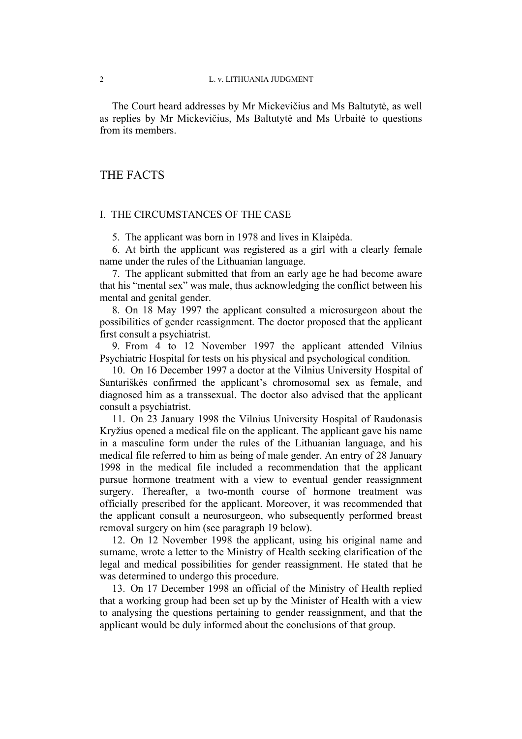The Court heard addresses by Mr Mickevičius and Ms Baltutytė, as well as replies by Mr Mickevičius, Ms Baltutytė and Ms Urbaitė to questions from its members.

# THE FACTS

#### I. THE CIRCUMSTANCES OF THE CASE

5. The applicant was born in 1978 and lives in Klaipėda.

6. At birth the applicant was registered as a girl with a clearly female name under the rules of the Lithuanian language.

7. The applicant submitted that from an early age he had become aware that his "mental sex" was male, thus acknowledging the conflict between his mental and genital gender.

8. On 18 May 1997 the applicant consulted a microsurgeon about the possibilities of gender reassignment. The doctor proposed that the applicant first consult a psychiatrist.

9. From 4 to 12 November 1997 the applicant attended Vilnius Psychiatric Hospital for tests on his physical and psychological condition.

10. On 16 December 1997 a doctor at the Vilnius University Hospital of Santariškės confirmed the applicant's chromosomal sex as female, and diagnosed him as a transsexual. The doctor also advised that the applicant consult a psychiatrist.

11. On 23 January 1998 the Vilnius University Hospital of Raudonasis Kryžius opened a medical file on the applicant. The applicant gave his name in a masculine form under the rules of the Lithuanian language, and his medical file referred to him as being of male gender. An entry of 28 January 1998 in the medical file included a recommendation that the applicant pursue hormone treatment with a view to eventual gender reassignment surgery. Thereafter, a two-month course of hormone treatment was officially prescribed for the applicant. Moreover, it was recommended that the applicant consult a neurosurgeon, who subsequently performed breast removal surgery on him (see paragraph 19 below).

12. On 12 November 1998 the applicant, using his original name and surname, wrote a letter to the Ministry of Health seeking clarification of the legal and medical possibilities for gender reassignment. He stated that he was determined to undergo this procedure.

13. On 17 December 1998 an official of the Ministry of Health replied that a working group had been set up by the Minister of Health with a view to analysing the questions pertaining to gender reassignment, and that the applicant would be duly informed about the conclusions of that group.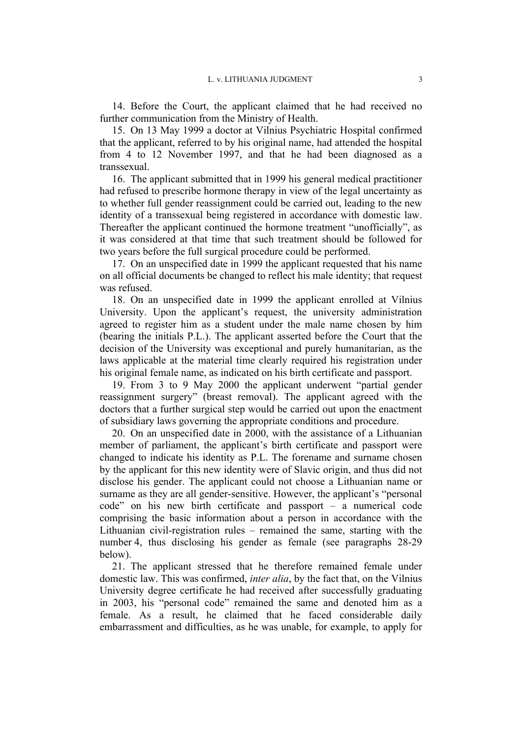14. Before the Court, the applicant claimed that he had received no further communication from the Ministry of Health.

15. On 13 May 1999 a doctor at Vilnius Psychiatric Hospital confirmed that the applicant, referred to by his original name, had attended the hospital from 4 to 12 November 1997, and that he had been diagnosed as a transsexual.

16. The applicant submitted that in 1999 his general medical practitioner had refused to prescribe hormone therapy in view of the legal uncertainty as to whether full gender reassignment could be carried out, leading to the new identity of a transsexual being registered in accordance with domestic law. Thereafter the applicant continued the hormone treatment "unofficially", as it was considered at that time that such treatment should be followed for two years before the full surgical procedure could be performed.

17. On an unspecified date in 1999 the applicant requested that his name on all official documents be changed to reflect his male identity; that request was refused.

18. On an unspecified date in 1999 the applicant enrolled at Vilnius University. Upon the applicant's request, the university administration agreed to register him as a student under the male name chosen by him (bearing the initials P.L.). The applicant asserted before the Court that the decision of the University was exceptional and purely humanitarian, as the laws applicable at the material time clearly required his registration under his original female name, as indicated on his birth certificate and passport.

19. From 3 to 9 May 2000 the applicant underwent "partial gender reassignment surgery" (breast removal). The applicant agreed with the doctors that a further surgical step would be carried out upon the enactment of subsidiary laws governing the appropriate conditions and procedure.

20. On an unspecified date in 2000, with the assistance of a Lithuanian member of parliament, the applicant's birth certificate and passport were changed to indicate his identity as P.L. The forename and surname chosen by the applicant for this new identity were of Slavic origin, and thus did not disclose his gender. The applicant could not choose a Lithuanian name or surname as they are all gender-sensitive. However, the applicant's "personal code" on his new birth certificate and passport – a numerical code comprising the basic information about a person in accordance with the Lithuanian civil-registration rules – remained the same, starting with the number 4, thus disclosing his gender as female (see paragraphs 28-29 below).

21. The applicant stressed that he therefore remained female under domestic law. This was confirmed, *inter alia*, by the fact that, on the Vilnius University degree certificate he had received after successfully graduating in 2003, his "personal code" remained the same and denoted him as a female. As a result, he claimed that he faced considerable daily embarrassment and difficulties, as he was unable, for example, to apply for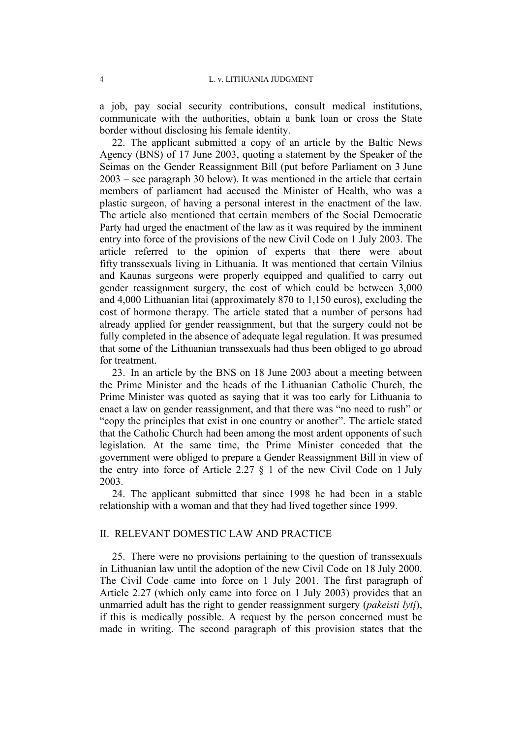a job, pay social security contributions, consult medical institutions, communicate with the authorities, obtain a bank loan or cross the State border without disclosing his female identity.

22. The applicant submitted a copy of an article by the Baltic News Agency (BNS) of 17 June 2003, quoting a statement by the Speaker of the Seimas on the Gender Reassignment Bill (put before Parliament on 3 June 2003 – see paragraph 30 below). It was mentioned in the article that certain members of parliament had accused the Minister of Health, who was a plastic surgeon, of having a personal interest in the enactment of the law. The article also mentioned that certain members of the Social Democratic Party had urged the enactment of the law as it was required by the imminent entry into force of the provisions of the new Civil Code on 1 July 2003. The article referred to the opinion of experts that there were about fifty transsexuals living in Lithuania. It was mentioned that certain Vilnius and Kaunas surgeons were properly equipped and qualified to carry out gender reassignment surgery, the cost of which could be between 3,000 and 4,000 Lithuanian litai (approximately 870 to 1,150 euros), excluding the cost of hormone therapy. The article stated that a number of persons had already applied for gender reassignment, but that the surgery could not be fully completed in the absence of adequate legal regulation. It was presumed that some of the Lithuanian transsexuals had thus been obliged to go abroad for treatment.

23. In an article by the BNS on 18 June 2003 about a meeting between the Prime Minister and the heads of the Lithuanian Catholic Church, the Prime Minister was quoted as saying that it was too early for Lithuania to enact a law on gender reassignment, and that there was "no need to rush" or "copy the principles that exist in one country or another". The article stated that the Catholic Church had been among the most ardent opponents of such legislation. At the same time, the Prime Minister conceded that the government were obliged to prepare a Gender Reassignment Bill in view of the entry into force of Article 2.27 § 1 of the new Civil Code on 1 July 2003.

24. The applicant submitted that since 1998 he had been in a stable relationship with a woman and that they had lived together since 1999.

# II. RELEVANT DOMESTIC LAW AND PRACTICE

25. There were no provisions pertaining to the question of transsexuals in Lithuanian law until the adoption of the new Civil Code on 18 July 2000. The Civil Code came into force on 1 July 2001. The first paragraph of Article 2.27 (which only came into force on 1 July 2003) provides that an unmarried adult has the right to gender reassignment surgery (*pakeisti lytį*), if this is medically possible. A request by the person concerned must be made in writing. The second paragraph of this provision states that the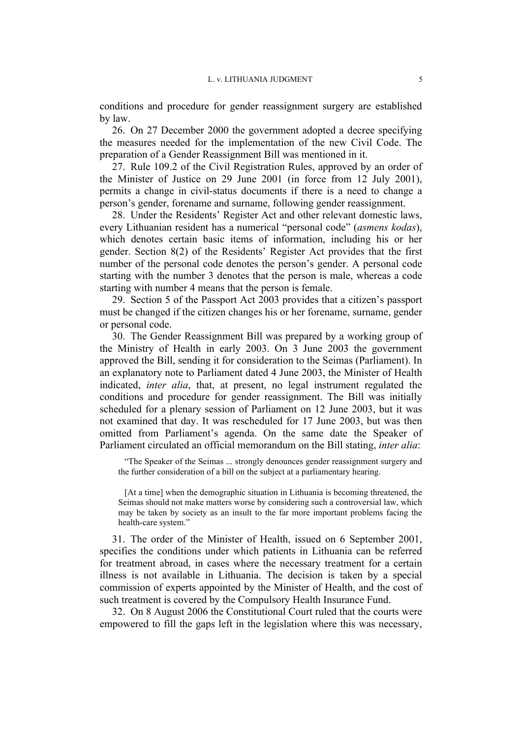conditions and procedure for gender reassignment surgery are established by law.

26. On 27 December 2000 the government adopted a decree specifying the measures needed for the implementation of the new Civil Code. The preparation of a Gender Reassignment Bill was mentioned in it.

27. Rule 109.2 of the Civil Registration Rules, approved by an order of the Minister of Justice on 29 June 2001 (in force from 12 July 2001), permits a change in civil-status documents if there is a need to change a person's gender, forename and surname, following gender reassignment.

28. Under the Residents' Register Act and other relevant domestic laws, every Lithuanian resident has a numerical "personal code" (*asmens kodas*), which denotes certain basic items of information, including his or her gender. Section 8(2) of the Residents' Register Act provides that the first number of the personal code denotes the person's gender. A personal code starting with the number 3 denotes that the person is male, whereas a code starting with number 4 means that the person is female.

29. Section 5 of the Passport Act 2003 provides that a citizen's passport must be changed if the citizen changes his or her forename, surname, gender or personal code.

30. The Gender Reassignment Bill was prepared by a working group of the Ministry of Health in early 2003. On 3 June 2003 the government approved the Bill, sending it for consideration to the Seimas (Parliament). In an explanatory note to Parliament dated 4 June 2003, the Minister of Health indicated, *inter alia*, that, at present, no legal instrument regulated the conditions and procedure for gender reassignment. The Bill was initially scheduled for a plenary session of Parliament on 12 June 2003, but it was not examined that day. It was rescheduled for 17 June 2003, but was then omitted from Parliament's agenda. On the same date the Speaker of Parliament circulated an official memorandum on the Bill stating, *inter alia*:

"The Speaker of the Seimas ... strongly denounces gender reassignment surgery and the further consideration of a bill on the subject at a parliamentary hearing.

[At a time] when the demographic situation in Lithuania is becoming threatened, the Seimas should not make matters worse by considering such a controversial law, which may be taken by society as an insult to the far more important problems facing the health-care system."

31. The order of the Minister of Health, issued on 6 September 2001, specifies the conditions under which patients in Lithuania can be referred for treatment abroad, in cases where the necessary treatment for a certain illness is not available in Lithuania. The decision is taken by a special commission of experts appointed by the Minister of Health, and the cost of such treatment is covered by the Compulsory Health Insurance Fund.

32. On 8 August 2006 the Constitutional Court ruled that the courts were empowered to fill the gaps left in the legislation where this was necessary,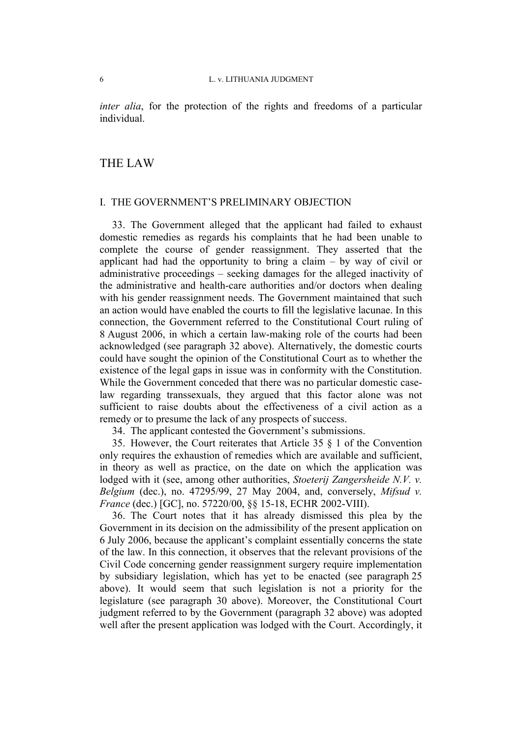*inter alia*, for the protection of the rights and freedoms of a particular individual.

# THE LAW

#### I. THE GOVERNMENT'S PRELIMINARY OBJECTION

33. The Government alleged that the applicant had failed to exhaust domestic remedies as regards his complaints that he had been unable to complete the course of gender reassignment. They asserted that the applicant had had the opportunity to bring a claim  $-$  by way of civil or administrative proceedings – seeking damages for the alleged inactivity of the administrative and health-care authorities and/or doctors when dealing with his gender reassignment needs. The Government maintained that such an action would have enabled the courts to fill the legislative lacunae. In this connection, the Government referred to the Constitutional Court ruling of 8 August 2006, in which a certain law-making role of the courts had been acknowledged (see paragraph 32 above). Alternatively, the domestic courts could have sought the opinion of the Constitutional Court as to whether the existence of the legal gaps in issue was in conformity with the Constitution. While the Government conceded that there was no particular domestic caselaw regarding transsexuals, they argued that this factor alone was not sufficient to raise doubts about the effectiveness of a civil action as a remedy or to presume the lack of any prospects of success.

34. The applicant contested the Government's submissions.

35. However, the Court reiterates that Article 35 § 1 of the Convention only requires the exhaustion of remedies which are available and sufficient, in theory as well as practice, on the date on which the application was lodged with it (see, among other authorities, *Stoeterij Zangersheide N.V. v. Belgium* (dec.), no. 47295/99, 27 May 2004, and, conversely, *Mifsud v. France* (dec.) [GC], no. 57220/00, §§ 15-18, ECHR 2002-VIII).

36. The Court notes that it has already dismissed this plea by the Government in its decision on the admissibility of the present application on 6 July 2006, because the applicant's complaint essentially concerns the state of the law. In this connection, it observes that the relevant provisions of the Civil Code concerning gender reassignment surgery require implementation by subsidiary legislation, which has yet to be enacted (see paragraph 25 above). It would seem that such legislation is not a priority for the legislature (see paragraph 30 above). Moreover, the Constitutional Court judgment referred to by the Government (paragraph 32 above) was adopted well after the present application was lodged with the Court. Accordingly, it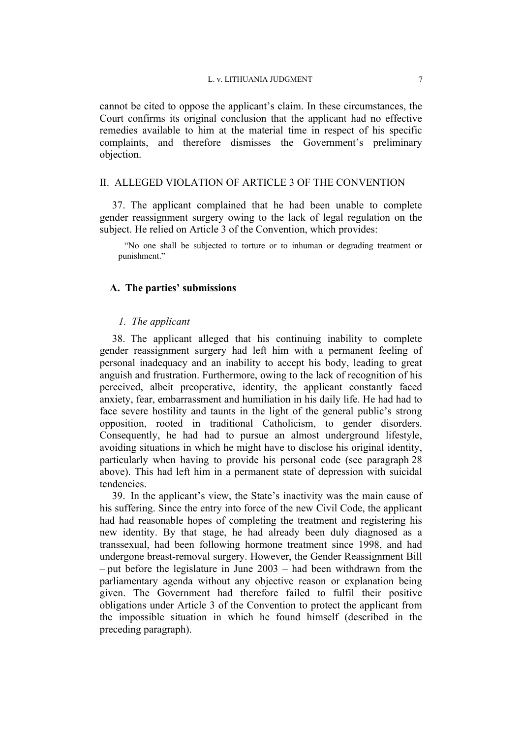cannot be cited to oppose the applicant's claim. In these circumstances, the Court confirms its original conclusion that the applicant had no effective remedies available to him at the material time in respect of his specific complaints, and therefore dismisses the Government's preliminary objection.

## II. ALLEGED VIOLATION OF ARTICLE 3 OF THE CONVENTION

37. The applicant complained that he had been unable to complete gender reassignment surgery owing to the lack of legal regulation on the subject. He relied on Article 3 of the Convention, which provides:

"No one shall be subjected to torture or to inhuman or degrading treatment or punishment."

## **A. The parties' submissions**

#### *1. The applicant*

38. The applicant alleged that his continuing inability to complete gender reassignment surgery had left him with a permanent feeling of personal inadequacy and an inability to accept his body, leading to great anguish and frustration. Furthermore, owing to the lack of recognition of his perceived, albeit preoperative, identity, the applicant constantly faced anxiety, fear, embarrassment and humiliation in his daily life. He had had to face severe hostility and taunts in the light of the general public's strong opposition, rooted in traditional Catholicism, to gender disorders. Consequently, he had had to pursue an almost underground lifestyle, avoiding situations in which he might have to disclose his original identity, particularly when having to provide his personal code (see paragraph 28 above). This had left him in a permanent state of depression with suicidal tendencies.

39. In the applicant's view, the State's inactivity was the main cause of his suffering. Since the entry into force of the new Civil Code, the applicant had had reasonable hopes of completing the treatment and registering his new identity. By that stage, he had already been duly diagnosed as a transsexual, had been following hormone treatment since 1998, and had undergone breast-removal surgery. However, the Gender Reassignment Bill – put before the legislature in June 2003 – had been withdrawn from the parliamentary agenda without any objective reason or explanation being given. The Government had therefore failed to fulfil their positive obligations under Article 3 of the Convention to protect the applicant from the impossible situation in which he found himself (described in the preceding paragraph).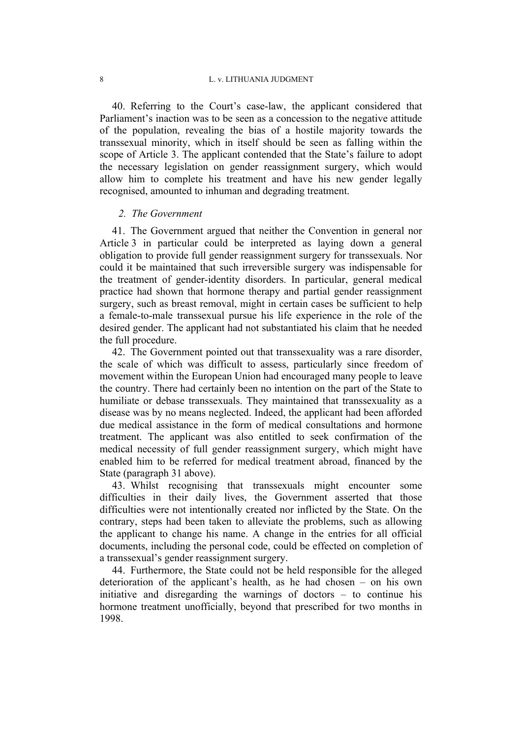40. Referring to the Court's case-law, the applicant considered that Parliament's inaction was to be seen as a concession to the negative attitude of the population, revealing the bias of a hostile majority towards the transsexual minority, which in itself should be seen as falling within the scope of Article 3. The applicant contended that the State's failure to adopt the necessary legislation on gender reassignment surgery, which would allow him to complete his treatment and have his new gender legally recognised, amounted to inhuman and degrading treatment.

#### *2. The Government*

41. The Government argued that neither the Convention in general nor Article 3 in particular could be interpreted as laying down a general obligation to provide full gender reassignment surgery for transsexuals. Nor could it be maintained that such irreversible surgery was indispensable for the treatment of gender-identity disorders. In particular, general medical practice had shown that hormone therapy and partial gender reassignment surgery, such as breast removal, might in certain cases be sufficient to help a female-to-male transsexual pursue his life experience in the role of the desired gender. The applicant had not substantiated his claim that he needed the full procedure.

42. The Government pointed out that transsexuality was a rare disorder, the scale of which was difficult to assess, particularly since freedom of movement within the European Union had encouraged many people to leave the country. There had certainly been no intention on the part of the State to humiliate or debase transsexuals. They maintained that transsexuality as a disease was by no means neglected. Indeed, the applicant had been afforded due medical assistance in the form of medical consultations and hormone treatment. The applicant was also entitled to seek confirmation of the medical necessity of full gender reassignment surgery, which might have enabled him to be referred for medical treatment abroad, financed by the State (paragraph 31 above).

43. Whilst recognising that transsexuals might encounter some difficulties in their daily lives, the Government asserted that those difficulties were not intentionally created nor inflicted by the State. On the contrary, steps had been taken to alleviate the problems, such as allowing the applicant to change his name. A change in the entries for all official documents, including the personal code, could be effected on completion of a transsexual's gender reassignment surgery.

44. Furthermore, the State could not be held responsible for the alleged deterioration of the applicant's health, as he had chosen – on his own initiative and disregarding the warnings of doctors – to continue his hormone treatment unofficially, beyond that prescribed for two months in 1998.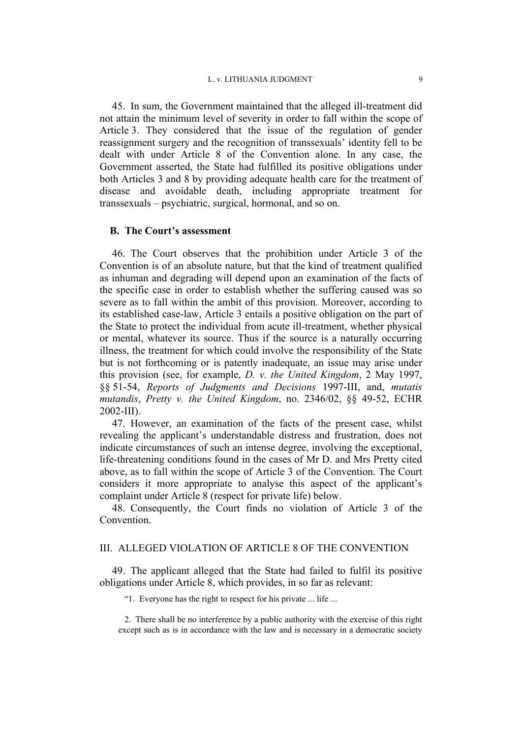45. In sum, the Government maintained that the alleged ill-treatment did not attain the minimum level of severity in order to fall within the scope of Article 3. They considered that the issue of the regulation of gender reassignment surgery and the recognition of transsexuals' identity fell to be dealt with under Article 8 of the Convention alone. In any case, the Government asserted, the State had fulfilled its positive obligations under both Articles 3 and 8 by providing adequate health care for the treatment of disease and avoidable death, including appropriate treatment for transsexuals – psychiatric, surgical, hormonal, and so on.

#### **B. The Court's assessment**

46. The Court observes that the prohibition under Article 3 of the Convention is of an absolute nature, but that the kind of treatment qualified as inhuman and degrading will depend upon an examination of the facts of the specific case in order to establish whether the suffering caused was so severe as to fall within the ambit of this provision. Moreover, according to its established case-law, Article 3 entails a positive obligation on the part of the State to protect the individual from acute ill-treatment, whether physical or mental, whatever its source. Thus if the source is a naturally occurring illness, the treatment for which could involve the responsibility of the State but is not forthcoming or is patently inadequate, an issue may arise under this provision (see, for example, *D. v. the United Kingdom*, 2 May 1997, §§ 51-54, *Reports of Judgments and Decisions* 1997-III, and, *mutatis mutandis*, *Pretty v. the United Kingdom*, no. 2346/02, §§ 49-52, ECHR 2002-III).

47. However, an examination of the facts of the present case, whilst revealing the applicant's understandable distress and frustration, does not indicate circumstances of such an intense degree, involving the exceptional, life-threatening conditions found in the cases of Mr D. and Mrs Pretty cited above, as to fall within the scope of Article 3 of the Convention. The Court considers it more appropriate to analyse this aspect of the applicant's complaint under Article 8 (respect for private life) below.

48. Consequently, the Court finds no violation of Article 3 of the Convention.

## III. ALLEGED VIOLATION OF ARTICLE 8 OF THE CONVENTION

49. The applicant alleged that the State had failed to fulfil its positive obligations under Article 8, which provides, in so far as relevant:

"1. Everyone has the right to respect for his private ... life ...

2. There shall be no interference by a public authority with the exercise of this right except such as is in accordance with the law and is necessary in a democratic society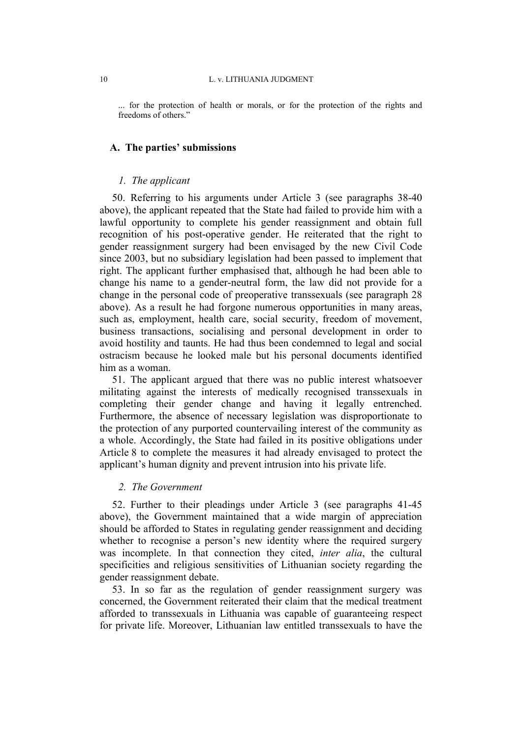... for the protection of health or morals, or for the protection of the rights and freedoms of others."

#### **A. The parties' submissions**

## *1. The applicant*

50. Referring to his arguments under Article 3 (see paragraphs 38-40 above), the applicant repeated that the State had failed to provide him with a lawful opportunity to complete his gender reassignment and obtain full recognition of his post-operative gender. He reiterated that the right to gender reassignment surgery had been envisaged by the new Civil Code since 2003, but no subsidiary legislation had been passed to implement that right. The applicant further emphasised that, although he had been able to change his name to a gender-neutral form, the law did not provide for a change in the personal code of preoperative transsexuals (see paragraph 28 above). As a result he had forgone numerous opportunities in many areas, such as, employment, health care, social security, freedom of movement, business transactions, socialising and personal development in order to avoid hostility and taunts. He had thus been condemned to legal and social ostracism because he looked male but his personal documents identified him as a woman.

51. The applicant argued that there was no public interest whatsoever militating against the interests of medically recognised transsexuals in completing their gender change and having it legally entrenched. Furthermore, the absence of necessary legislation was disproportionate to the protection of any purported countervailing interest of the community as a whole. Accordingly, the State had failed in its positive obligations under Article 8 to complete the measures it had already envisaged to protect the applicant's human dignity and prevent intrusion into his private life.

#### *2. The Government*

52. Further to their pleadings under Article 3 (see paragraphs 41-45 above), the Government maintained that a wide margin of appreciation should be afforded to States in regulating gender reassignment and deciding whether to recognise a person's new identity where the required surgery was incomplete. In that connection they cited, *inter alia*, the cultural specificities and religious sensitivities of Lithuanian society regarding the gender reassignment debate.

53. In so far as the regulation of gender reassignment surgery was concerned, the Government reiterated their claim that the medical treatment afforded to transsexuals in Lithuania was capable of guaranteeing respect for private life. Moreover, Lithuanian law entitled transsexuals to have the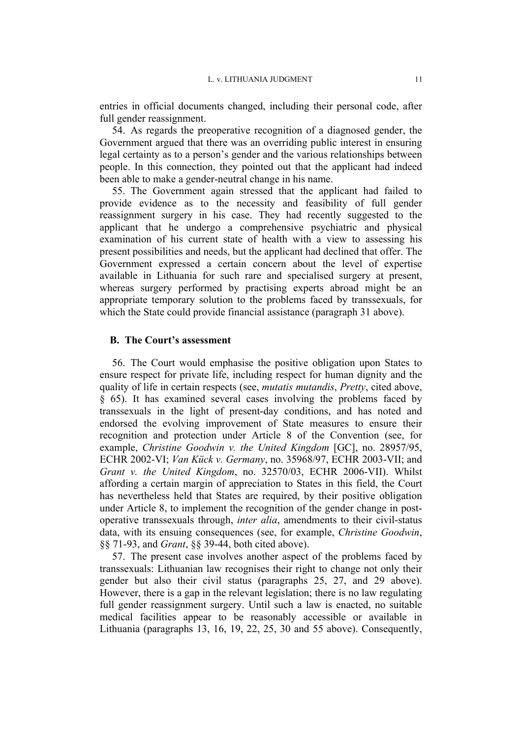entries in official documents changed, including their personal code, after full gender reassignment.

54. As regards the preoperative recognition of a diagnosed gender, the Government argued that there was an overriding public interest in ensuring legal certainty as to a person's gender and the various relationships between people. In this connection, they pointed out that the applicant had indeed been able to make a gender-neutral change in his name.

55. The Government again stressed that the applicant had failed to provide evidence as to the necessity and feasibility of full gender reassignment surgery in his case. They had recently suggested to the applicant that he undergo a comprehensive psychiatric and physical examination of his current state of health with a view to assessing his present possibilities and needs, but the applicant had declined that offer. The Government expressed a certain concern about the level of expertise available in Lithuania for such rare and specialised surgery at present, whereas surgery performed by practising experts abroad might be an appropriate temporary solution to the problems faced by transsexuals, for which the State could provide financial assistance (paragraph 31 above).

#### **B. The Court's assessment**

56. The Court would emphasise the positive obligation upon States to ensure respect for private life, including respect for human dignity and the quality of life in certain respects (see, *mutatis mutandis*, *Pretty*, cited above, § 65). It has examined several cases involving the problems faced by transsexuals in the light of present-day conditions, and has noted and endorsed the evolving improvement of State measures to ensure their recognition and protection under Article 8 of the Convention (see, for example, *Christine Goodwin v. the United Kingdom* [GC], no. 28957/95, ECHR 2002-VI; *Van Kück v. Germany*, no. 35968/97, ECHR 2003-VII; and *Grant v. the United Kingdom*, no. 32570/03, ECHR 2006-VII). Whilst affording a certain margin of appreciation to States in this field, the Court has nevertheless held that States are required, by their positive obligation under Article 8, to implement the recognition of the gender change in postoperative transsexuals through, *inter alia*, amendments to their civil-status data, with its ensuing consequences (see, for example, *Christine Goodwin*, §§ 71-93, and *Grant*, §§ 39-44, both cited above).

57. The present case involves another aspect of the problems faced by transsexuals: Lithuanian law recognises their right to change not only their gender but also their civil status (paragraphs 25, 27, and 29 above). However, there is a gap in the relevant legislation; there is no law regulating full gender reassignment surgery. Until such a law is enacted, no suitable medical facilities appear to be reasonably accessible or available in Lithuania (paragraphs 13, 16, 19, 22, 25, 30 and 55 above). Consequently,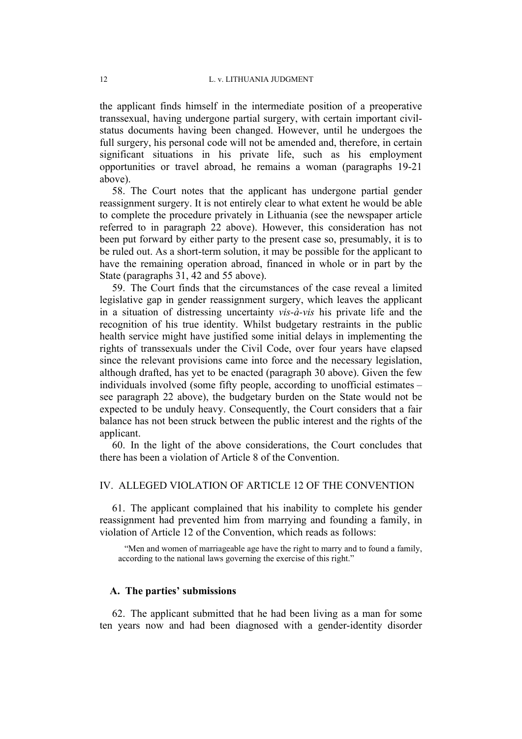the applicant finds himself in the intermediate position of a preoperative transsexual, having undergone partial surgery, with certain important civilstatus documents having been changed. However, until he undergoes the full surgery, his personal code will not be amended and, therefore, in certain significant situations in his private life, such as his employment opportunities or travel abroad, he remains a woman (paragraphs 19-21 above).

58. The Court notes that the applicant has undergone partial gender reassignment surgery. It is not entirely clear to what extent he would be able to complete the procedure privately in Lithuania (see the newspaper article referred to in paragraph 22 above). However, this consideration has not been put forward by either party to the present case so, presumably, it is to be ruled out. As a short-term solution, it may be possible for the applicant to have the remaining operation abroad, financed in whole or in part by the State (paragraphs 31, 42 and 55 above).

59. The Court finds that the circumstances of the case reveal a limited legislative gap in gender reassignment surgery, which leaves the applicant in a situation of distressing uncertainty *vis-à-vis* his private life and the recognition of his true identity. Whilst budgetary restraints in the public health service might have justified some initial delays in implementing the rights of transsexuals under the Civil Code, over four years have elapsed since the relevant provisions came into force and the necessary legislation, although drafted, has yet to be enacted (paragraph 30 above). Given the few individuals involved (some fifty people, according to unofficial estimates – see paragraph 22 above), the budgetary burden on the State would not be expected to be unduly heavy. Consequently, the Court considers that a fair balance has not been struck between the public interest and the rights of the applicant.

60. In the light of the above considerations, the Court concludes that there has been a violation of Article 8 of the Convention.

## IV. ALLEGED VIOLATION OF ARTICLE 12 OF THE CONVENTION

61. The applicant complained that his inability to complete his gender reassignment had prevented him from marrying and founding a family, in violation of Article 12 of the Convention, which reads as follows:

"Men and women of marriageable age have the right to marry and to found a family, according to the national laws governing the exercise of this right."

#### **A. The parties' submissions**

62. The applicant submitted that he had been living as a man for some ten years now and had been diagnosed with a gender-identity disorder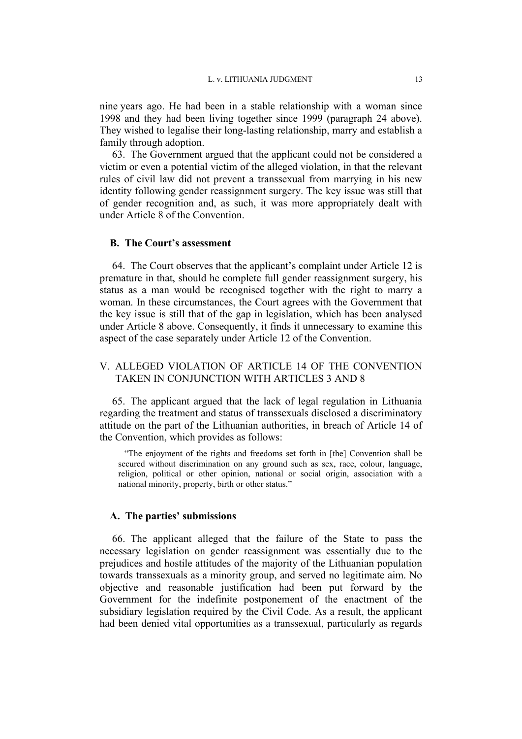nine years ago. He had been in a stable relationship with a woman since 1998 and they had been living together since 1999 (paragraph 24 above). They wished to legalise their long-lasting relationship, marry and establish a family through adoption.

63. The Government argued that the applicant could not be considered a victim or even a potential victim of the alleged violation, in that the relevant rules of civil law did not prevent a transsexual from marrying in his new identity following gender reassignment surgery. The key issue was still that of gender recognition and, as such, it was more appropriately dealt with under Article 8 of the Convention.

#### **B. The Court's assessment**

64. The Court observes that the applicant's complaint under Article 12 is premature in that, should he complete full gender reassignment surgery, his status as a man would be recognised together with the right to marry a woman. In these circumstances, the Court agrees with the Government that the key issue is still that of the gap in legislation, which has been analysed under Article 8 above. Consequently, it finds it unnecessary to examine this aspect of the case separately under Article 12 of the Convention.

# V. ALLEGED VIOLATION OF ARTICLE 14 OF THE CONVENTION TAKEN IN CONJUNCTION WITH ARTICLES 3 AND 8

65. The applicant argued that the lack of legal regulation in Lithuania regarding the treatment and status of transsexuals disclosed a discriminatory attitude on the part of the Lithuanian authorities, in breach of Article 14 of the Convention, which provides as follows:

"The enjoyment of the rights and freedoms set forth in [the] Convention shall be secured without discrimination on any ground such as sex, race, colour, language, religion, political or other opinion, national or social origin, association with a national minority, property, birth or other status."

#### **A. The parties' submissions**

66. The applicant alleged that the failure of the State to pass the necessary legislation on gender reassignment was essentially due to the prejudices and hostile attitudes of the majority of the Lithuanian population towards transsexuals as a minority group, and served no legitimate aim. No objective and reasonable justification had been put forward by the Government for the indefinite postponement of the enactment of the subsidiary legislation required by the Civil Code. As a result, the applicant had been denied vital opportunities as a transsexual, particularly as regards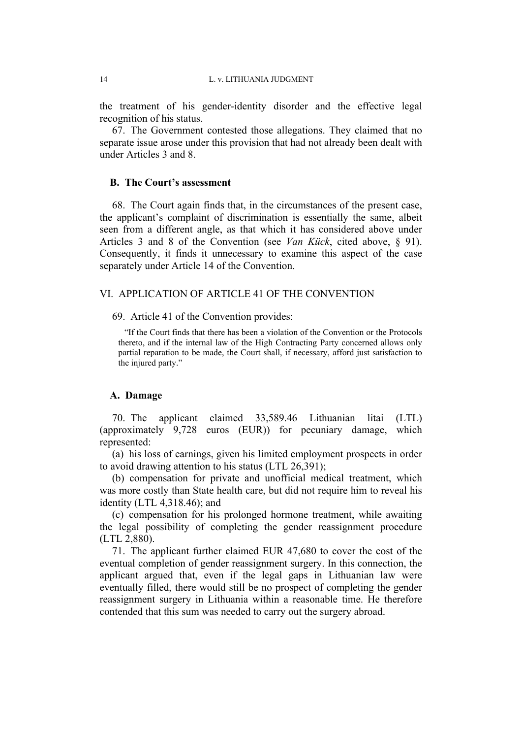the treatment of his gender-identity disorder and the effective legal recognition of his status.

67. The Government contested those allegations. They claimed that no separate issue arose under this provision that had not already been dealt with under Articles 3 and 8.

#### **B. The Court's assessment**

68. The Court again finds that, in the circumstances of the present case, the applicant's complaint of discrimination is essentially the same, albeit seen from a different angle, as that which it has considered above under Articles 3 and 8 of the Convention (see *Van Kück*, cited above, § 91). Consequently, it finds it unnecessary to examine this aspect of the case separately under Article 14 of the Convention.

### VI. APPLICATION OF ARTICLE 41 OF THE CONVENTION

69. Article 41 of the Convention provides:

"If the Court finds that there has been a violation of the Convention or the Protocols thereto, and if the internal law of the High Contracting Party concerned allows only partial reparation to be made, the Court shall, if necessary, afford just satisfaction to the injured party."

#### **A. Damage**

70. The applicant claimed 33,589.46 Lithuanian litai (LTL) (approximately 9,728 euros (EUR)) for pecuniary damage, which represented:

(a) his loss of earnings, given his limited employment prospects in order to avoid drawing attention to his status (LTL 26,391);

(b) compensation for private and unofficial medical treatment, which was more costly than State health care, but did not require him to reveal his identity (LTL 4,318.46); and

(c) compensation for his prolonged hormone treatment, while awaiting the legal possibility of completing the gender reassignment procedure (LTL 2,880).

71. The applicant further claimed EUR 47,680 to cover the cost of the eventual completion of gender reassignment surgery. In this connection, the applicant argued that, even if the legal gaps in Lithuanian law were eventually filled, there would still be no prospect of completing the gender reassignment surgery in Lithuania within a reasonable time. He therefore contended that this sum was needed to carry out the surgery abroad.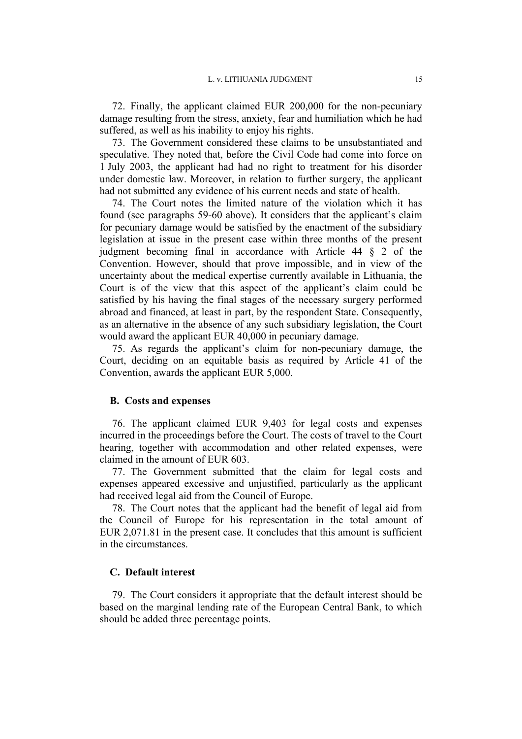72. Finally, the applicant claimed EUR 200,000 for the non-pecuniary damage resulting from the stress, anxiety, fear and humiliation which he had suffered, as well as his inability to enjoy his rights.

73. The Government considered these claims to be unsubstantiated and speculative. They noted that, before the Civil Code had come into force on 1 July 2003, the applicant had had no right to treatment for his disorder under domestic law. Moreover, in relation to further surgery, the applicant had not submitted any evidence of his current needs and state of health.

74. The Court notes the limited nature of the violation which it has found (see paragraphs 59-60 above). It considers that the applicant's claim for pecuniary damage would be satisfied by the enactment of the subsidiary legislation at issue in the present case within three months of the present judgment becoming final in accordance with Article 44 § 2 of the Convention. However, should that prove impossible, and in view of the uncertainty about the medical expertise currently available in Lithuania, the Court is of the view that this aspect of the applicant's claim could be satisfied by his having the final stages of the necessary surgery performed abroad and financed, at least in part, by the respondent State. Consequently, as an alternative in the absence of any such subsidiary legislation, the Court would award the applicant EUR 40,000 in pecuniary damage.

75. As regards the applicant's claim for non-pecuniary damage, the Court, deciding on an equitable basis as required by Article 41 of the Convention, awards the applicant EUR 5,000.

#### **B. Costs and expenses**

76. The applicant claimed EUR 9,403 for legal costs and expenses incurred in the proceedings before the Court. The costs of travel to the Court hearing, together with accommodation and other related expenses, were claimed in the amount of EUR 603.

77. The Government submitted that the claim for legal costs and expenses appeared excessive and unjustified, particularly as the applicant had received legal aid from the Council of Europe.

78. The Court notes that the applicant had the benefit of legal aid from the Council of Europe for his representation in the total amount of EUR 2,071.81 in the present case. It concludes that this amount is sufficient in the circumstances.

#### **C. Default interest**

79. The Court considers it appropriate that the default interest should be based on the marginal lending rate of the European Central Bank, to which should be added three percentage points.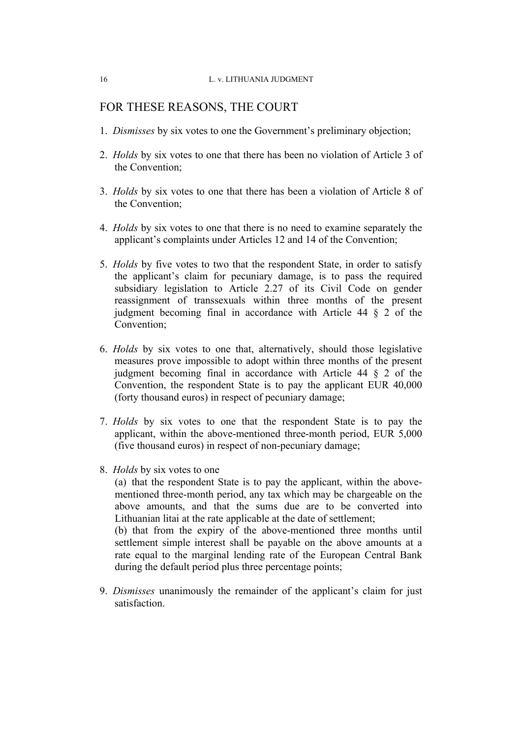# FOR THESE REASONS, THE COURT

- 1. *Dismisses* by six votes to one the Government's preliminary objection;
- 2. *Holds* by six votes to one that there has been no violation of Article 3 of the Convention;
- 3. *Holds* by six votes to one that there has been a violation of Article 8 of the Convention;
- 4. *Holds* by six votes to one that there is no need to examine separately the applicant's complaints under Articles 12 and 14 of the Convention;
- 5. *Holds* by five votes to two that the respondent State, in order to satisfy the applicant's claim for pecuniary damage, is to pass the required subsidiary legislation to Article 2.27 of its Civil Code on gender reassignment of transsexuals within three months of the present judgment becoming final in accordance with Article 44 § 2 of the Convention;
- 6. *Holds* by six votes to one that, alternatively, should those legislative measures prove impossible to adopt within three months of the present judgment becoming final in accordance with Article 44 § 2 of the Convention, the respondent State is to pay the applicant EUR 40,000 (forty thousand euros) in respect of pecuniary damage;
- 7. *Holds* by six votes to one that the respondent State is to pay the applicant, within the above-mentioned three-month period, EUR 5,000 (five thousand euros) in respect of non-pecuniary damage;
- 8. *Holds* by six votes to one

(a) that the respondent State is to pay the applicant, within the abovementioned three-month period, any tax which may be chargeable on the above amounts, and that the sums due are to be converted into Lithuanian litai at the rate applicable at the date of settlement;

(b) that from the expiry of the above-mentioned three months until settlement simple interest shall be payable on the above amounts at a rate equal to the marginal lending rate of the European Central Bank during the default period plus three percentage points;

9. *Dismisses* unanimously the remainder of the applicant's claim for just satisfaction.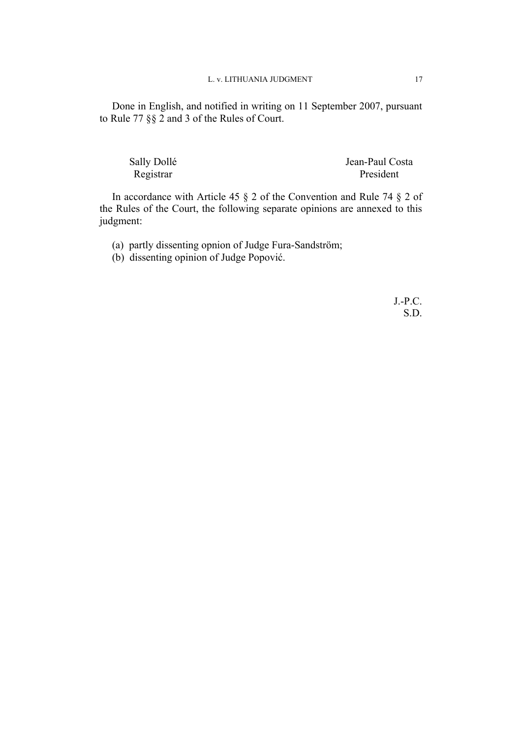Done in English, and notified in writing on 11 September 2007, pursuant to Rule 77 §§ 2 and 3 of the Rules of Court.

| Sally Dollé | Jean-Paul Costa |
|-------------|-----------------|
| Registrar   | President       |

In accordance with Article 45 § 2 of the Convention and Rule 74 § 2 of the Rules of the Court, the following separate opinions are annexed to this judgment:

(a) partly dissenting opnion of Judge Fura-Sandström;

(b) dissenting opinion of Judge Popović.

J.-P.C. S.D.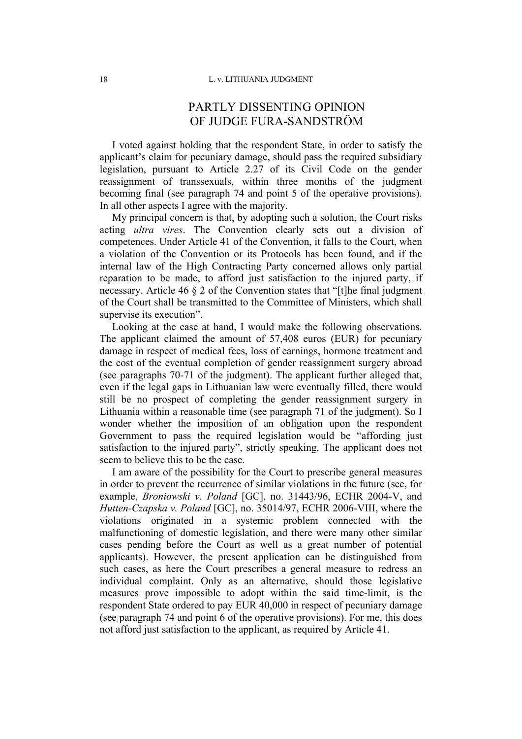# PARTLY DISSENTING OPINION OF JUDGE FURA-SANDSTRÖM

I voted against holding that the respondent State, in order to satisfy the applicant's claim for pecuniary damage, should pass the required subsidiary legislation, pursuant to Article 2.27 of its Civil Code on the gender reassignment of transsexuals, within three months of the judgment becoming final (see paragraph 74 and point 5 of the operative provisions). In all other aspects I agree with the majority.

My principal concern is that, by adopting such a solution, the Court risks acting *ultra vires*. The Convention clearly sets out a division of competences. Under Article 41 of the Convention, it falls to the Court, when a violation of the Convention or its Protocols has been found, and if the internal law of the High Contracting Party concerned allows only partial reparation to be made, to afford just satisfaction to the injured party, if necessary. Article 46 § 2 of the Convention states that "[t]he final judgment of the Court shall be transmitted to the Committee of Ministers, which shall supervise its execution".

Looking at the case at hand, I would make the following observations. The applicant claimed the amount of 57,408 euros (EUR) for pecuniary damage in respect of medical fees, loss of earnings, hormone treatment and the cost of the eventual completion of gender reassignment surgery abroad (see paragraphs 70-71 of the judgment). The applicant further alleged that, even if the legal gaps in Lithuanian law were eventually filled, there would still be no prospect of completing the gender reassignment surgery in Lithuania within a reasonable time (see paragraph 71 of the judgment). So I wonder whether the imposition of an obligation upon the respondent Government to pass the required legislation would be "affording just satisfaction to the injured party", strictly speaking. The applicant does not seem to believe this to be the case.

I am aware of the possibility for the Court to prescribe general measures in order to prevent the recurrence of similar violations in the future (see, for example, *Broniowski v. Poland* [GC], no. 31443/96, ECHR 2004-V, and *Hutten-Czapska v. Poland* [GC], no. 35014/97, ECHR 2006-VIII, where the violations originated in a systemic problem connected with the malfunctioning of domestic legislation, and there were many other similar cases pending before the Court as well as a great number of potential applicants). However, the present application can be distinguished from such cases, as here the Court prescribes a general measure to redress an individual complaint. Only as an alternative, should those legislative measures prove impossible to adopt within the said time-limit, is the respondent State ordered to pay EUR 40,000 in respect of pecuniary damage (see paragraph 74 and point 6 of the operative provisions). For me, this does not afford just satisfaction to the applicant, as required by Article 41.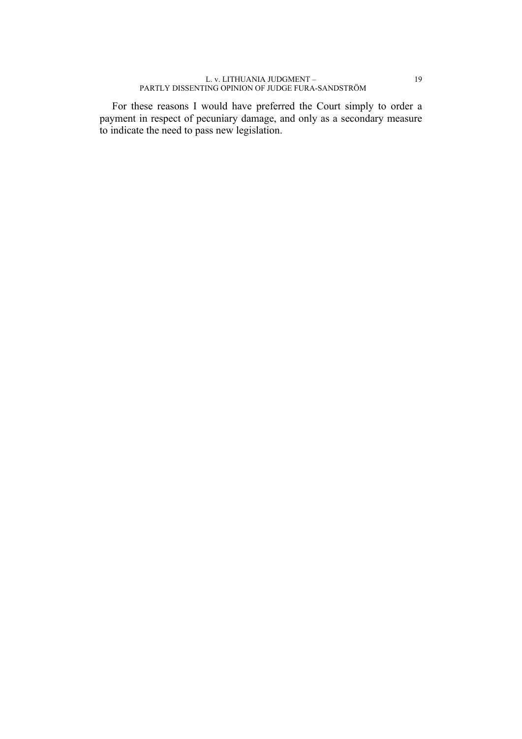For these reasons I would have preferred the Court simply to order a payment in respect of pecuniary damage, and only as a secondary measure to indicate the need to pass new legislation.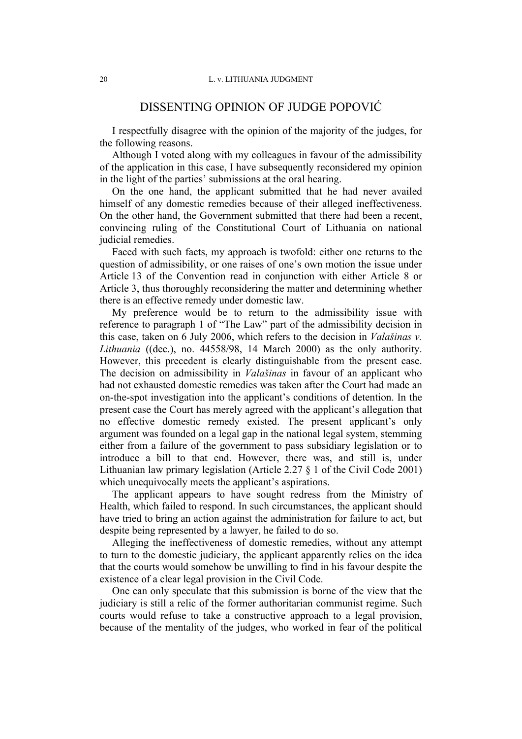# DISSENTING OPINION OF JUDGE POPOVIĆ

I respectfully disagree with the opinion of the majority of the judges, for the following reasons.

Although I voted along with my colleagues in favour of the admissibility of the application in this case, I have subsequently reconsidered my opinion in the light of the parties' submissions at the oral hearing.

On the one hand, the applicant submitted that he had never availed himself of any domestic remedies because of their alleged ineffectiveness. On the other hand, the Government submitted that there had been a recent, convincing ruling of the Constitutional Court of Lithuania on national judicial remedies.

Faced with such facts, my approach is twofold: either one returns to the question of admissibility, or one raises of one's own motion the issue under Article 13 of the Convention read in conjunction with either Article 8 or Article 3, thus thoroughly reconsidering the matter and determining whether there is an effective remedy under domestic law.

My preference would be to return to the admissibility issue with reference to paragraph 1 of "The Law" part of the admissibility decision in this case, taken on 6 July 2006, which refers to the decision in *Valašinas v. Lithuania* ((dec.), no. 44558/98, 14 March 2000) as the only authority. However, this precedent is clearly distinguishable from the present case. The decision on admissibility in *Valašinas* in favour of an applicant who had not exhausted domestic remedies was taken after the Court had made an on-the-spot investigation into the applicant's conditions of detention. In the present case the Court has merely agreed with the applicant's allegation that no effective domestic remedy existed. The present applicant's only argument was founded on a legal gap in the national legal system, stemming either from a failure of the government to pass subsidiary legislation or to introduce a bill to that end. However, there was, and still is, under Lithuanian law primary legislation (Article 2.27 § 1 of the Civil Code 2001) which unequivocally meets the applicant's aspirations.

The applicant appears to have sought redress from the Ministry of Health, which failed to respond. In such circumstances, the applicant should have tried to bring an action against the administration for failure to act, but despite being represented by a lawyer, he failed to do so.

Alleging the ineffectiveness of domestic remedies, without any attempt to turn to the domestic judiciary, the applicant apparently relies on the idea that the courts would somehow be unwilling to find in his favour despite the existence of a clear legal provision in the Civil Code.

One can only speculate that this submission is borne of the view that the judiciary is still a relic of the former authoritarian communist regime. Such courts would refuse to take a constructive approach to a legal provision, because of the mentality of the judges, who worked in fear of the political